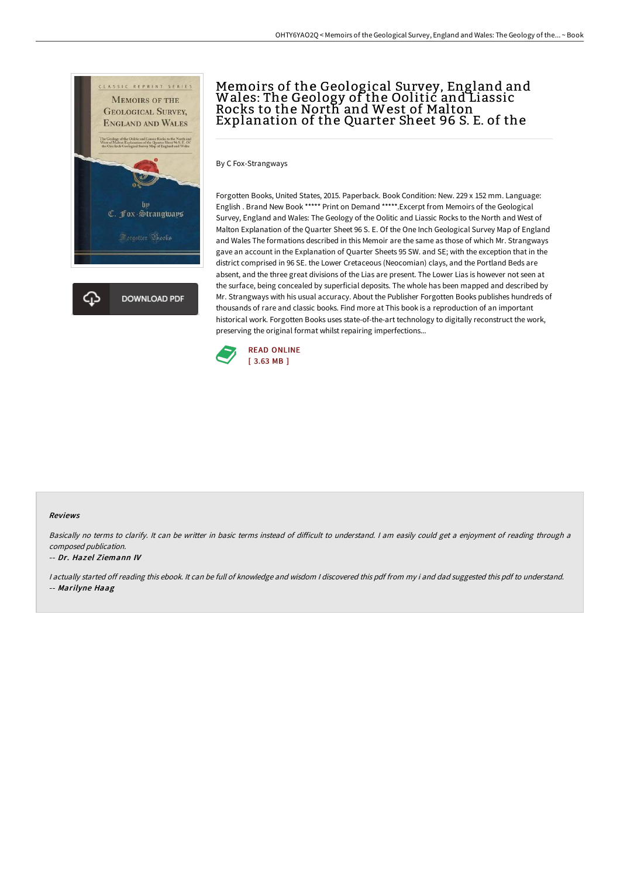

## Memoirs of the Geological Survey, England and Wales: The Geology of the Oolitic and Liassic Rocks to the North and West of Malton Explanation of the Quarter Sheet 96 S. E. of the

By C Fox-Strangways

Forgotten Books, United States, 2015. Paperback. Book Condition: New. 229 x 152 mm. Language: English . Brand New Book \*\*\*\*\* Print on Demand \*\*\*\*\*.Excerpt from Memoirs of the Geological Survey, England and Wales: The Geology of the Oolitic and Liassic Rocks to the North and West of Malton Explanation of the Quarter Sheet 96 S. E. Of the One Inch Geological Survey Map of England and Wales The formations described in this Memoir are the same as those of which Mr. Strangways gave an account in the Explanation of Quarter Sheets 95 SW. and SE; with the exception that in the district comprised in 96 SE. the Lower Cretaceous (Neocomian) clays, and the Portland Beds are absent, and the three great divisions of the Lias are present. The Lower Lias is however not seen at the surface, being concealed by superficial deposits. The whole has been mapped and described by Mr. Strangways with his usual accuracy. About the Publisher Forgotten Books publishes hundreds of thousands of rare and classic books. Find more at This book is a reproduction of an important historical work. Forgotten Books uses state-of-the-art technology to digitally reconstruct the work, preserving the original format whilst repairing imperfections...



## Reviews

Basically no terms to clarify. It can be writter in basic terms instead of difficult to understand. I am easily could get a enjoyment of reading through a composed publication.

## -- Dr. Hazel Ziemann IV

<sup>I</sup> actually started off reading this ebook. It can be full of knowledge and wisdom <sup>I</sup> discovered this pdf from my i and dad suggested this pdf to understand. -- Marilyne Haag